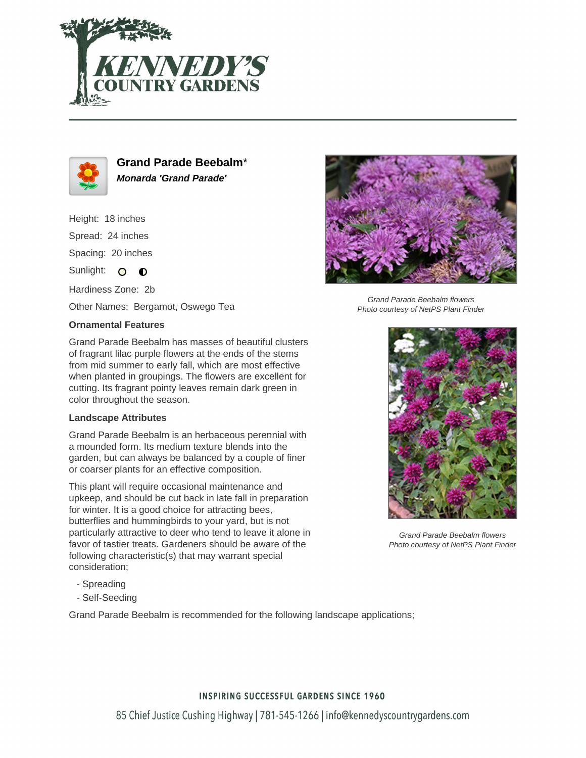



**Grand Parade Beebalm**\* **Monarda 'Grand Parade'**

Height: 18 inches Spread: 24 inches Spacing: 20 inches

Sunlight: O O

Hardiness Zone: 2b

Other Names: Bergamot, Oswego Tea

## **Ornamental Features**

Grand Parade Beebalm has masses of beautiful clusters of fragrant lilac purple flowers at the ends of the stems from mid summer to early fall, which are most effective when planted in groupings. The flowers are excellent for cutting. Its fragrant pointy leaves remain dark green in color throughout the season.

## **Landscape Attributes**

Grand Parade Beebalm is an herbaceous perennial with a mounded form. Its medium texture blends into the garden, but can always be balanced by a couple of finer or coarser plants for an effective composition.

This plant will require occasional maintenance and upkeep, and should be cut back in late fall in preparation for winter. It is a good choice for attracting bees, butterflies and hummingbirds to your yard, but is not particularly attractive to deer who tend to leave it alone in favor of tastier treats. Gardeners should be aware of the following characteristic(s) that may warrant special consideration;

- Spreading
- Self-Seeding

Grand Parade Beebalm is recommended for the following landscape applications;



Grand Parade Beebalm flowers Photo courtesy of NetPS Plant Finder



Grand Parade Beebalm flowers Photo courtesy of NetPS Plant Finder

## **INSPIRING SUCCESSFUL GARDENS SINCE 1960**

85 Chief Justice Cushing Highway | 781-545-1266 | info@kennedyscountrygardens.com